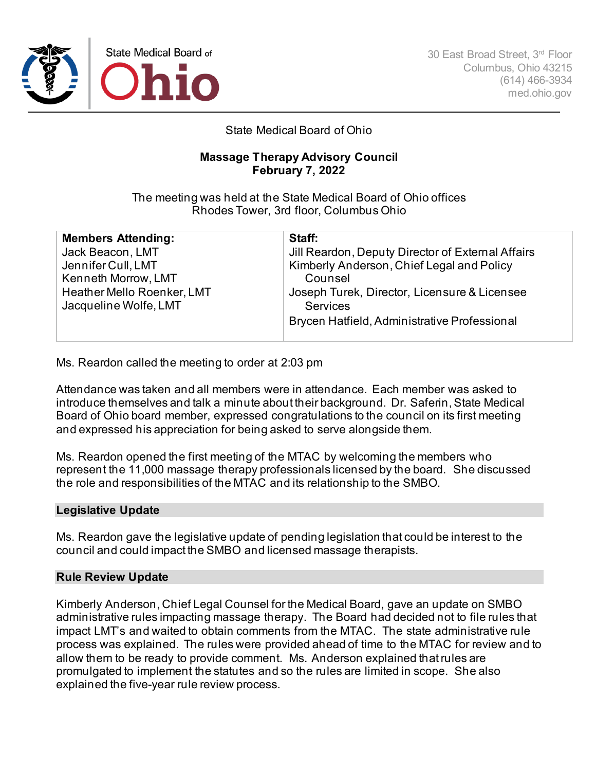

## State Medical Board of Ohio

## **Massage Therapy Advisory Council February 7, 2022**

The meeting was held at the State Medical Board of Ohio offices Rhodes Tower, 3rd floor, Columbus Ohio

| Staff:                                            |
|---------------------------------------------------|
| Jill Reardon, Deputy Director of External Affairs |
| Kimberly Anderson, Chief Legal and Policy         |
| Counsel                                           |
| Joseph Turek, Director, Licensure & Licensee      |
| <b>Services</b>                                   |
| Brycen Hatfield, Administrative Professional      |
|                                                   |

Ms. Reardon called the meeting to order at 2:03 pm

Attendance was taken and all members were in attendance. Each member was asked to introduce themselves and talk a minute about their background. Dr. Saferin, State Medical Board of Ohio board member, expressed congratulations to the council on its first meeting and expressed his appreciation for being asked to serve alongside them.

Ms. Reardon opened the first meeting of the MTAC by welcoming the members who represent the 11,000 massage therapy professionals licensed by the board. She discussed the role and responsibilities of the MTAC and its relationship to the SMBO.

## **Legislative Update**

Ms. Reardon gave the legislative update of pending legislation that could be interest to the council and could impact the SMBO and licensed massage therapists.

## **Rule Review Update**

Kimberly Anderson, Chief Legal Counsel for the Medical Board, gave an update on SMBO administrative rules impacting massage therapy. The Board had decided not to file rules that impact LMT's and waited to obtain comments from the MTAC. The state administrative rule process was explained. The rules were provided ahead of time to the MTAC for review and to allow them to be ready to provide comment. Ms. Anderson explained that rules are promulgated to implement the statutes and so the rules are limited in scope. She also explained the five-year rule review process.